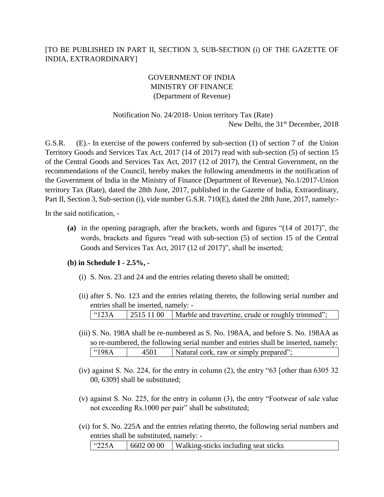# [TO BE PUBLISHED IN PART II, SECTION 3, SUB-SECTION (i) OF THE GAZETTE OF INDIA, EXTRAORDINARY]

# GOVERNMENT OF INDIA MINISTRY OF FINANCE (Department of Revenue)

## Notification No. 24/2018- Union territory Tax (Rate) New Delhi, the 31<sup>st</sup> December, 2018

G.S.R. (E).- In exercise of the powers conferred by sub-section (1) of section 7 of the Union Territory Goods and Services Tax Act, 2017 (14 of 2017) read with sub-section (5) of section 15 of the Central Goods and Services Tax Act, 2017 (12 of 2017), the Central Government, on the recommendations of the Council, hereby makes the following amendments in the notification of the Government of India in the Ministry of Finance (Department of Revenue), No.1/2017-Union territory Tax (Rate), dated the 28th June, 2017, published in the Gazette of India, Extraordinary, Part II, Section 3, Sub-section (i), vide number G.S.R. 710(E), dated the 28th June, 2017, namely:-

In the said notification, -

**(a)** in the opening paragraph, after the brackets, words and figures "(14 of 2017)", the words, brackets and figures "read with sub-section (5) of section 15 of the Central Goods and Services Tax Act, 2017 (12 of 2017)", shall be inserted;

### **(b) in Schedule I - 2.5%, -**

- (i) S. Nos. 23 and 24 and the entries relating thereto shall be omitted;
- (ii) after S. No. 123 and the entries relating thereto, the following serial number and entries shall be inserted, namely: -

| $^{\circ}$ '123A | 2515 11 00   Marble and travertine, crude or roughly trimmed"; |
|------------------|----------------------------------------------------------------|
|                  |                                                                |

- (iii) S. No. 198A shall be re-numbered as S. No. 198AA, and before S. No. 198AA as so re-numbered, the following serial number and entries shall be inserted, namely: "198A | 4501 | Natural cork, raw or simply prepared";
- (iv) against S. No. 224, for the entry in column (2), the entry "63 [other than 6305 32 00, 6309] shall be substituted;
- (v) against S. No. 225, for the entry in column (3), the entry "Footwear of sale value not exceeding Rs.1000 per pair" shall be substituted;
- (vi) for S. No. 225A and the entries relating thereto, the following serial numbers and entries shall be substituted, namely: -

| 6602 00 00<br>$\frac{14225A}{ }$<br>  Walking-sticks including seat sticks |
|----------------------------------------------------------------------------|
|----------------------------------------------------------------------------|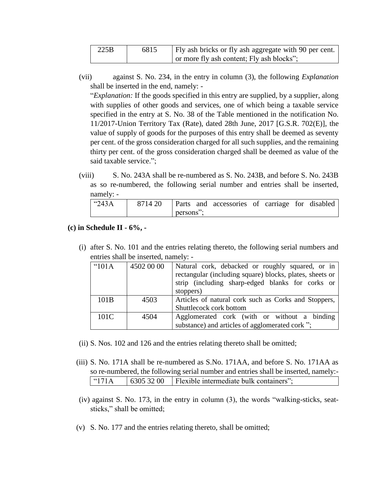| 225B | 6815 | Fly ash bricks or fly ash aggregate with 90 per cent. |
|------|------|-------------------------------------------------------|
|      |      | or more fly ash content; Fly ash blocks";             |

(vii) against S. No. 234, in the entry in column (3), the following *Explanation* shall be inserted in the end, namely: -

"*Explanation:* If the goods specified in this entry are supplied, by a supplier, along with supplies of other goods and services, one of which being a taxable service specified in the entry at S. No. 38 of the Table mentioned in the notification No. 11/2017-Union Territory Tax (Rate), dated 28th June, 2017 [G.S.R. 702(E)], the value of supply of goods for the purposes of this entry shall be deemed as seventy per cent. of the gross consideration charged for all such supplies, and the remaining thirty per cent. of the gross consideration charged shall be deemed as value of the said taxable service.";

(viii) S. No. 243A shall be re-numbered as S. No. 243B, and before S. No. 243B as so re-numbered, the following serial number and entries shall be inserted, namely: -

| $^{\circ}$ 243A | 8714 20 |           | Parts and accessories of carriage for disabled |  |  |
|-----------------|---------|-----------|------------------------------------------------|--|--|
|                 |         | persons": |                                                |  |  |

**(c) in Schedule II - 6%, -**

(i) after S. No. 101 and the entries relating thereto, the following serial numbers and entries shall be inserted, namely: -

| "101A | 4502 00 00 | Natural cork, debacked or roughly squared, or in<br>rectangular (including square) blocks, plates, sheets or<br>strip (including sharp-edged blanks for corks or<br>stoppers) |
|-------|------------|-------------------------------------------------------------------------------------------------------------------------------------------------------------------------------|
| 101B  | 4503       | Articles of natural cork such as Corks and Stoppers,<br>Shuttlecock cork bottom                                                                                               |
| 101C  | 4504       | Agglomerated cork (with or without a binding<br>substance) and articles of agglomerated cork ";                                                                               |

- (ii) S. Nos. 102 and 126 and the entries relating thereto shall be omitted;
- (iii) S. No. 171A shall be re-numbered as S.No. 171AA, and before S. No. 171AA as so re-numbered, the following serial number and entries shall be inserted, namely:- "171A | 6305 32 00 | Flexible intermediate bulk containers";
- (iv) against S. No. 173, in the entry in column (3), the words "walking-sticks, seatsticks," shall be omitted;
- (v) S. No. 177 and the entries relating thereto, shall be omitted;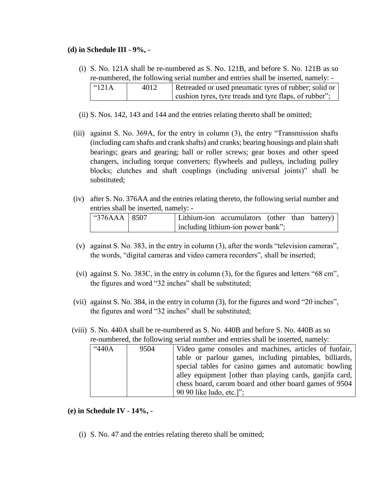### **(d) in Schedule III - 9%, -**

- (i) S. No. 121A shall be re-numbered as S. No. 121B, and before S. No. 121B as so re-numbered, the following serial number and entries shall be inserted, namely: - "121A  $\vert$  4012 Retreaded or used pneumatic tyres of rubber; solid or cushion tyres, tyre treads and tyre flaps, of rubber";
- (ii) S. Nos. 142, 143 and 144 and the entries relating thereto shall be omitted;
- (iii) against S. No. 369A, for the entry in column (3), the entry "Transmission shafts (including cam shafts and crank shafts) and cranks; bearing housings and plain shaft bearings; gears and gearing; ball or roller screws; gear boxes and other speed changers, including torque converters; flywheels and pulleys, including pulley blocks; clutches and shaft couplings (including universal joints)" shall be substituted;
- (iv) after S. No. 376AA and the entries relating thereto, the following serial number and entries shall be inserted, namely: -

| $^{\circ}376AAA$ 8507 |  | Lithium-ion accumulators (other than battery) |  |  |
|-----------------------|--|-----------------------------------------------|--|--|
|                       |  | including lithium-ion power bank";            |  |  |

- (v) against S. No. 383, in the entry in column (3), after the words "television cameras", the words, "digital cameras and video camera recorders", shall be inserted;
- (vi) against S. No. 383C, in the entry in column (3), for the figures and letters "68 cm", the figures and word "32 inches" shall be substituted;
- (vii) against S. No. 384, in the entry in column (3), for the figures and word "20 inches", the figures and word "32 inches" shall be substituted;
- (viii) S. No. 440A shall be re-numbered as S. No. 440B and before S. No. 440B as so re-numbered, the following serial number and entries shall be inserted, namely:

| "440A | 9504 | Video game consoles and machines, articles of funfair,   |
|-------|------|----------------------------------------------------------|
|       |      | table or parlour games, including pintables, billiards,  |
|       |      | special tables for casino games and automatic bowling    |
|       |      | alley equipment [other than playing cards, ganjifa card, |
|       |      | chess board, carom board and other board games of 9504   |
|       |      | 90 90 like ludo, etc.]";                                 |

- **(e) in Schedule IV - 14%, -**
	- (i) S. No. 47 and the entries relating thereto shall be omitted;